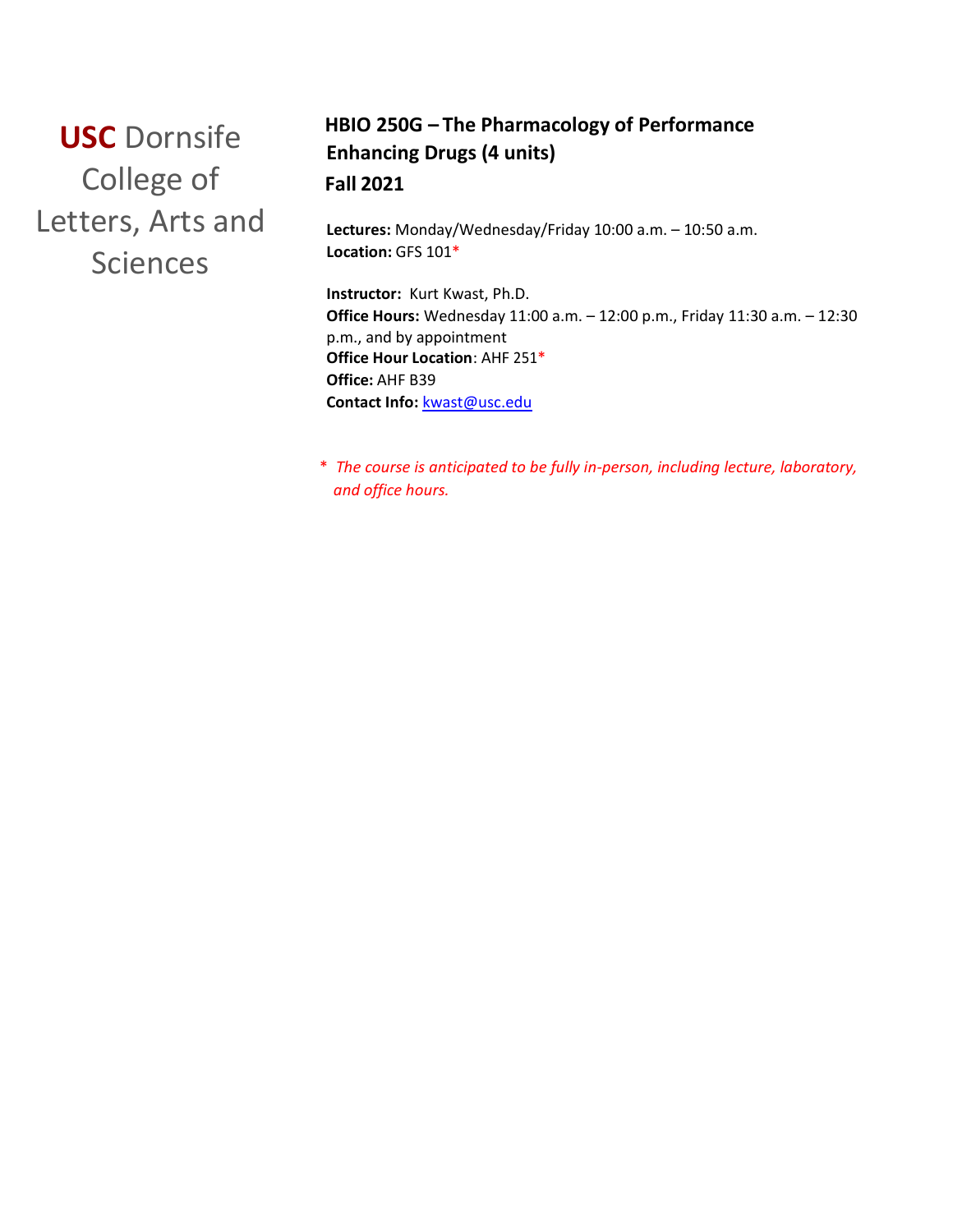**USC** Dornsife College of Letters, Arts and **Sciences** 

# **HBIO 250G – The Pharmacology of Performance Enhancing Drugs (4 units) Fall 2021**

**Lectures:** Monday/Wednesday/Friday 10:00 a.m. – 10:50 a.m. **Location:** GFS 101\*

**Instructor:** Kurt Kwast, Ph.D. **Office Hours:** Wednesday 11:00 a.m. – 12:00 p.m., Friday 11:30 a.m. – 12:30 p.m., and by appointment **Office Hour Location**: AHF 251\* **Office:** AHF B39 **Contact Info:** [kwast@usc.edu](mailto:kwast@usc.edu)

\* *The course is anticipated to be fully in-person, including lecture, laboratory, and office hours.*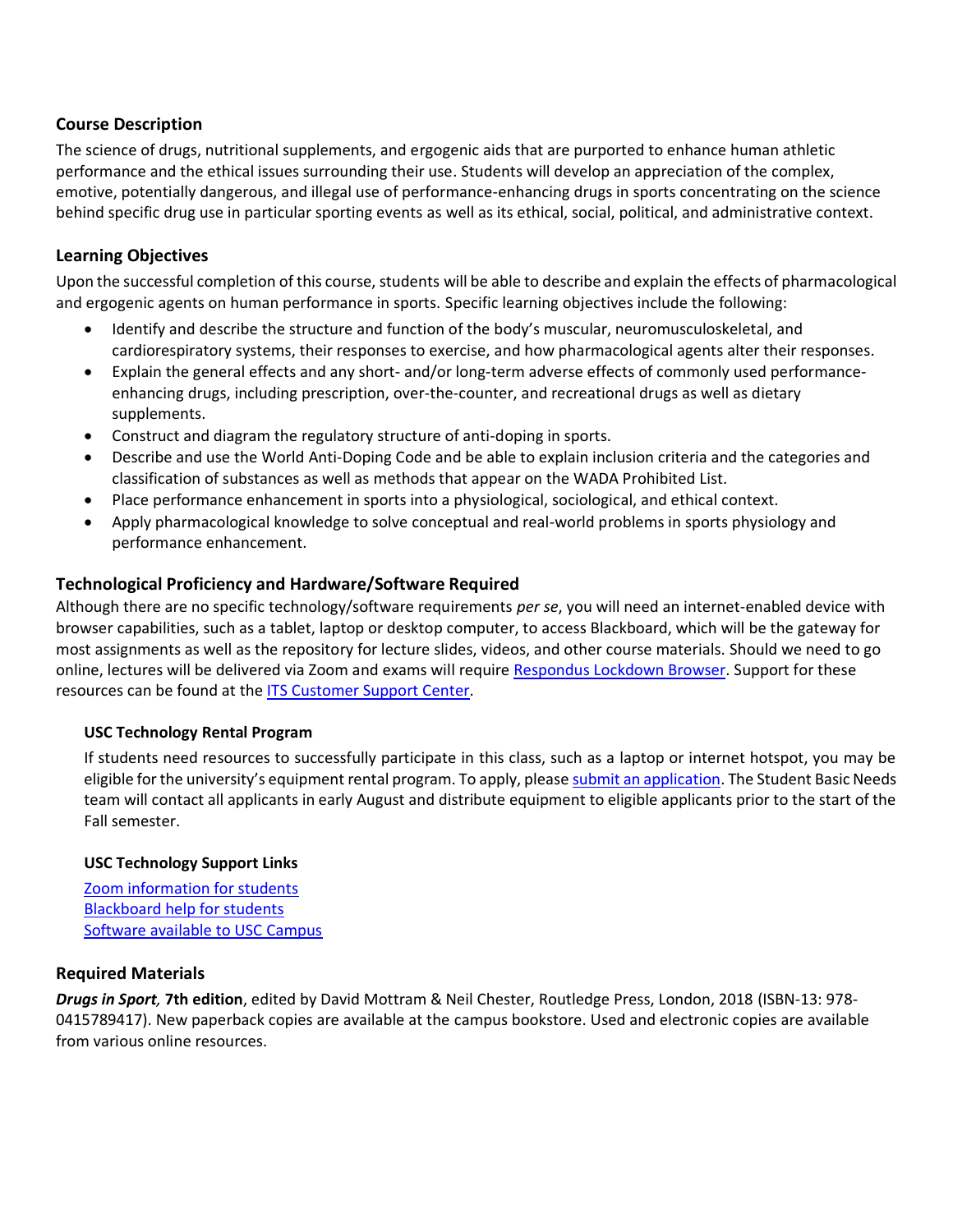### **Course Description**

The science of drugs, nutritional supplements, and ergogenic aids that are purported to enhance human athletic performance and the ethical issues surrounding their use. Students will develop an appreciation of the complex, emotive, potentially dangerous, and illegal use of performance-enhancing drugs in sports concentrating on the science behind specific drug use in particular sporting events as well as its ethical, social, political, and administrative context.

### **Learning Objectives**

Upon the successful completion of this course, students will be able to describe and explain the effects of pharmacological and ergogenic agents on human performance in sports. Specific learning objectives include the following:

- Identify and describe the structure and function of the body's muscular, neuromusculoskeletal, and cardiorespiratory systems, their responses to exercise, and how pharmacological agents alter their responses.
- Explain the general effects and any short- and/or long-term adverse effects of commonly used performanceenhancing drugs, including prescription, over-the-counter, and recreational drugs as well as dietary supplements.
- Construct and diagram the regulatory structure of anti-doping in sports.
- Describe and use the World Anti-Doping Code and be able to explain inclusion criteria and the categories and classification of substances as well as methods that appear on the WADA Prohibited List.
- Place performance enhancement in sports into a physiological, sociological, and ethical context.
- Apply pharmacological knowledge to solve conceptual and real-world problems in sports physiology and performance enhancement.

### **Technological Proficiency and Hardware/Software Required**

Although there are no specific technology/software requirements *per se*, you will need an internet-enabled device with browser capabilities, such as a tablet, laptop or desktop computer, to access Blackboard, which will be the gateway for most assignments as well as the repository for lecture slides, videos, and other course materials. Should we need to go online, lectures will be delivered via Zoom and exams will require [Respondus Lockdown Browser.](https://download.respondus.com/lockdown/download.php?id=945755274) Support for these resources can be found at the **ITS Customer Support Center**.

### **USC Technology Rental Program**

If students need resources to successfully participate in this class, such as a laptop or internet hotspot, you may be eligible for the university's equipment rental program. To apply, please [submit an application.](https://studentbasicneeds.usc.edu/resources/technology-assistance/) The Student Basic Needs team will contact all applicants in early August and distribute equipment to eligible applicants prior to the start of the Fall semester.

#### **USC Technology Support Links**

[Zoom information for students](https://keepteaching.usc.edu/start-learning/) [Blackboard help for students](https://studentblackboardhelp.usc.edu/) [Software available to USC Campus](https://software.usc.edu/)

### **Required Materials**

*Drugs in Sport,* **7th edition**, edited by David Mottram & Neil Chester, Routledge Press, London, 2018 (ISBN-13: 978- 0415789417). New paperback copies are available at the campus bookstore. Used and electronic copies are available from various online resources.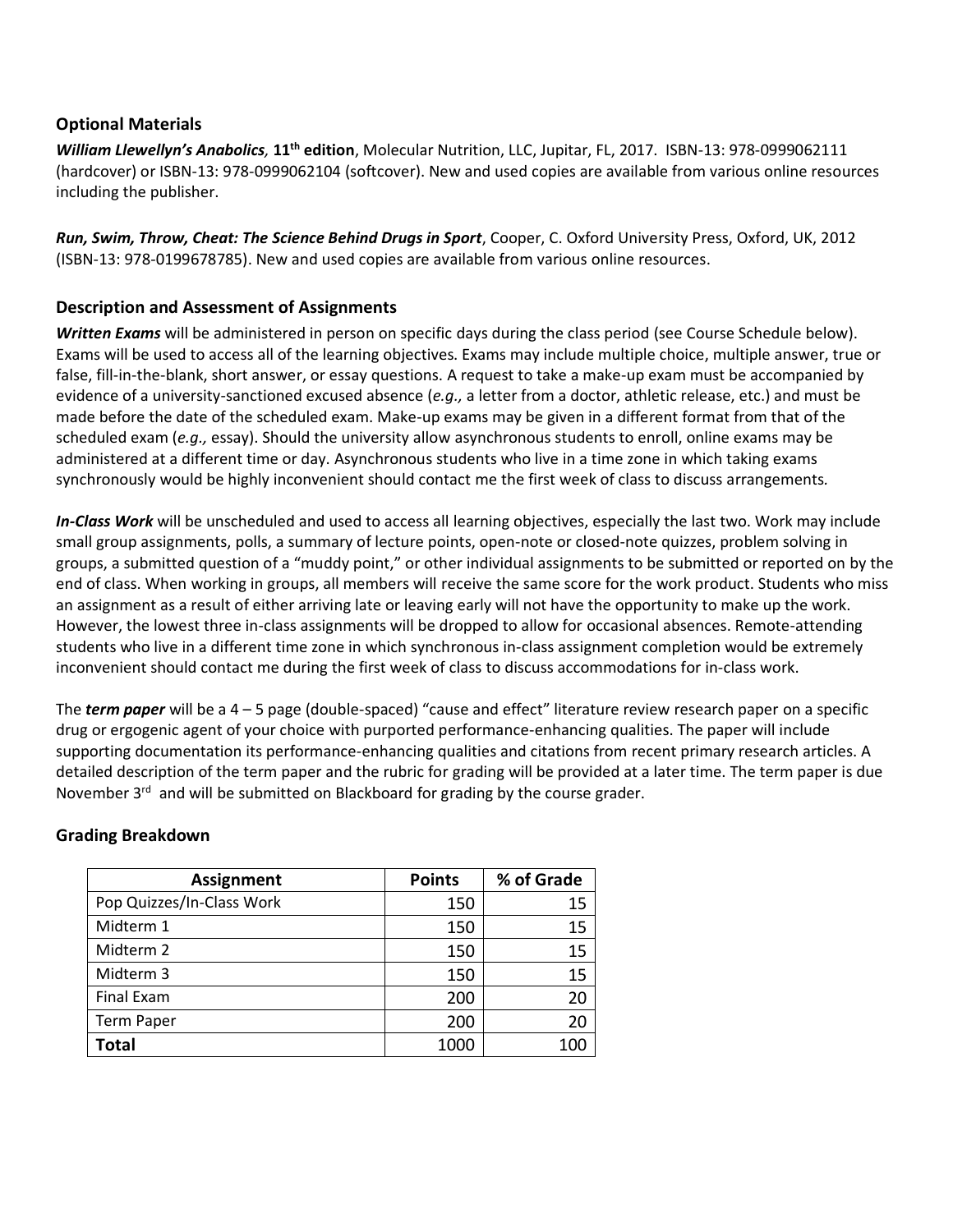### **Optional Materials**

*William Llewellyn's Anabolics,* **11th edition**, Molecular Nutrition, LLC, Jupitar, FL, 2017. ISBN-13: 978-0999062111 (hardcover) or ISBN-13: 978-0999062104 (softcover). New and used copies are available from various online resources including the publisher.

*Run, Swim, Throw, Cheat: The Science Behind Drugs in Sport*, Cooper, C. Oxford University Press, Oxford, UK, 2012 (ISBN-13: 978-0199678785). New and used copies are available from various online resources.

### **Description and Assessment of Assignments**

*Written Exams* will be administered in person on specific days during the class period (see Course Schedule below). Exams will be used to access all of the learning objectives. Exams may include multiple choice, multiple answer, true or false, fill-in-the-blank, short answer, or essay questions. A request to take a make-up exam must be accompanied by evidence of a university-sanctioned excused absence (*e.g.,* a letter from a doctor, athletic release, etc.) and must be made before the date of the scheduled exam. Make-up exams may be given in a different format from that of the scheduled exam (*e.g.,* essay). Should the university allow asynchronous students to enroll, online exams may be administered at a different time or day. Asynchronous students who live in a time zone in which taking exams synchronously would be highly inconvenient should contact me the first week of class to discuss arrangements*.*

*In-Class Work* will be unscheduled and used to access all learning objectives, especially the last two. Work may include small group assignments, polls, a summary of lecture points, open-note or closed-note quizzes, problem solving in groups, a submitted question of a "muddy point," or other individual assignments to be submitted or reported on by the end of class. When working in groups, all members will receive the same score for the work product. Students who miss an assignment as a result of either arriving late or leaving early will not have the opportunity to make up the work. However, the lowest three in-class assignments will be dropped to allow for occasional absences. Remote-attending students who live in a different time zone in which synchronous in-class assignment completion would be extremely inconvenient should contact me during the first week of class to discuss accommodations for in-class work.

The *term paper* will be a 4 – 5 page (double-spaced) "cause and effect" literature review research paper on a specific drug or ergogenic agent of your choice with purported performance-enhancing qualities. The paper will include supporting documentation its performance-enhancing qualities and citations from recent primary research articles. A detailed description of the term paper and the rubric for grading will be provided at a later time. The term paper is due November 3<sup>rd</sup> and will be submitted on Blackboard for grading by the course grader.

### **Grading Breakdown**

| <b>Assignment</b>         | <b>Points</b> | % of Grade |
|---------------------------|---------------|------------|
| Pop Quizzes/In-Class Work | 150           | 15         |
| Midterm 1                 | 150           | 15         |
| Midterm 2                 | 150           | 15         |
| Midterm 3                 | 150           | 15         |
| <b>Final Exam</b>         | 200           | 20         |
| <b>Term Paper</b>         | 200           | 20         |
| <b>Total</b>              | 1000          |            |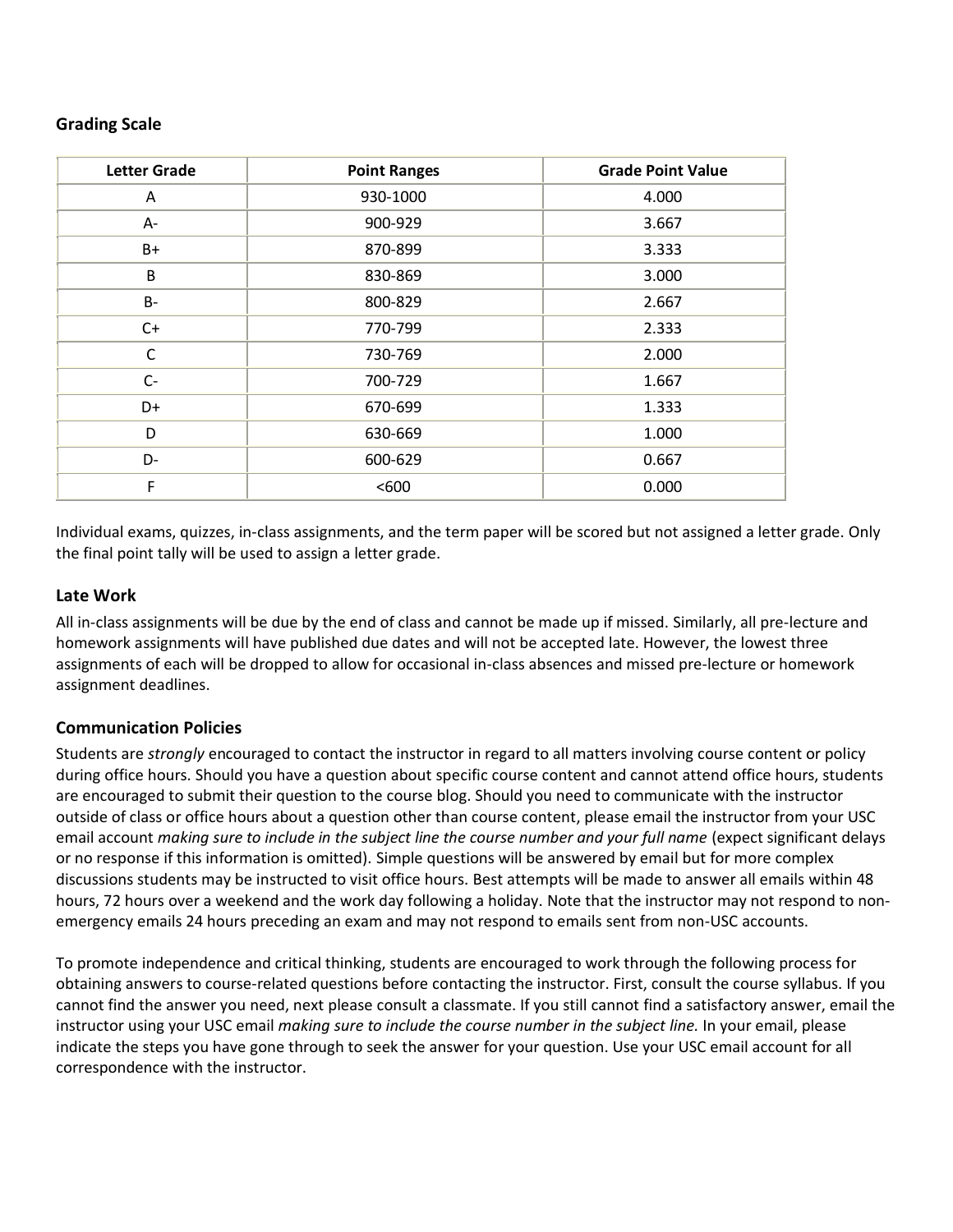### **Grading Scale**

| <b>Letter Grade</b> | <b>Point Ranges</b> | <b>Grade Point Value</b> |
|---------------------|---------------------|--------------------------|
| Α                   | 930-1000            | 4.000                    |
| А-                  | 900-929             | 3.667                    |
| B+                  | 870-899             | 3.333                    |
| B                   | 830-869             | 3.000                    |
| <b>B-</b>           | 800-829             | 2.667                    |
| $C+$                | 770-799             | 2.333                    |
| $\mathsf C$         | 730-769             | 2.000                    |
| $C-$                | 700-729             | 1.667                    |
| D+                  | 670-699             | 1.333                    |
| D                   | 630-669             | 1.000                    |
| D-                  | 600-629             | 0.667                    |
| F                   | < 600               | 0.000                    |

Individual exams, quizzes, in-class assignments, and the term paper will be scored but not assigned a letter grade. Only the final point tally will be used to assign a letter grade.

### **Late Work**

All in-class assignments will be due by the end of class and cannot be made up if missed. Similarly, all pre-lecture and homework assignments will have published due dates and will not be accepted late. However, the lowest three assignments of each will be dropped to allow for occasional in-class absences and missed pre-lecture or homework assignment deadlines.

### **Communication Policies**

Students are *strongly* encouraged to contact the instructor in regard to all matters involving course content or policy during office hours. Should you have a question about specific course content and cannot attend office hours, students are encouraged to submit their question to the course blog. Should you need to communicate with the instructor outside of class or office hours about a question other than course content, please email the instructor from your USC email account *making sure to include in the subject line the course number and your full name* (expect significant delays or no response if this information is omitted). Simple questions will be answered by email but for more complex discussions students may be instructed to visit office hours. Best attempts will be made to answer all emails within 48 hours, 72 hours over a weekend and the work day following a holiday. Note that the instructor may not respond to nonemergency emails 24 hours preceding an exam and may not respond to emails sent from non-USC accounts.

To promote independence and critical thinking, students are encouraged to work through the following process for obtaining answers to course-related questions before contacting the instructor. First, consult the course syllabus. If you cannot find the answer you need, next please consult a classmate. If you still cannot find a satisfactory answer, email the instructor using your USC email *making sure to include the course number in the subject line.* In your email, please indicate the steps you have gone through to seek the answer for your question. Use your USC email account for all correspondence with the instructor.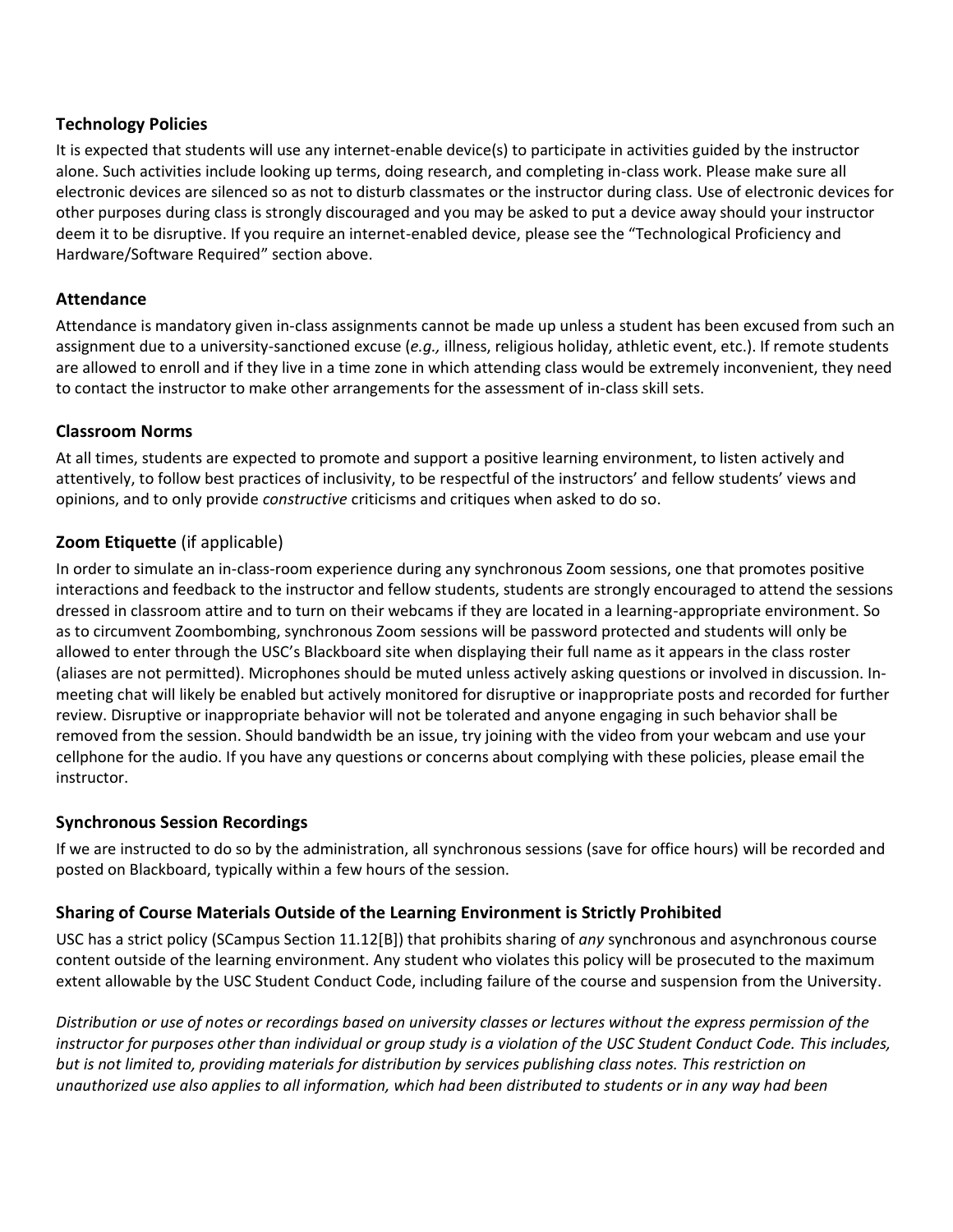### **Technology Policies**

It is expected that students will use any internet-enable device(s) to participate in activities guided by the instructor alone. Such activities include looking up terms, doing research, and completing in-class work. Please make sure all electronic devices are silenced so as not to disturb classmates or the instructor during class. Use of electronic devices for other purposes during class is strongly discouraged and you may be asked to put a device away should your instructor deem it to be disruptive. If you require an internet-enabled device, please see the "Technological Proficiency and Hardware/Software Required" section above.

### **Attendance**

Attendance is mandatory given in-class assignments cannot be made up unless a student has been excused from such an assignment due to a university-sanctioned excuse (*e.g.,* illness, religious holiday, athletic event, etc.). If remote students are allowed to enroll and if they live in a time zone in which attending class would be extremely inconvenient, they need to contact the instructor to make other arrangements for the assessment of in-class skill sets.

### **Classroom Norms**

At all times, students are expected to promote and support a positive learning environment, to listen actively and attentively, to follow best practices of inclusivity, to be respectful of the instructors' and fellow students' views and opinions, and to only provide *constructive* criticisms and critiques when asked to do so.

# **Zoom Etiquette** (if applicable)

In order to simulate an in-class-room experience during any synchronous Zoom sessions, one that promotes positive interactions and feedback to the instructor and fellow students, students are strongly encouraged to attend the sessions dressed in classroom attire and to turn on their webcams if they are located in a learning-appropriate environment. So as to circumvent Zoombombing, synchronous Zoom sessions will be password protected and students will only be allowed to enter through the USC's Blackboard site when displaying their full name as it appears in the class roster (aliases are not permitted). Microphones should be muted unless actively asking questions or involved in discussion. Inmeeting chat will likely be enabled but actively monitored for disruptive or inappropriate posts and recorded for further review. Disruptive or inappropriate behavior will not be tolerated and anyone engaging in such behavior shall be removed from the session. Should bandwidth be an issue, try joining with the video from your webcam and use your cellphone for the audio. If you have any questions or concerns about complying with these policies, please email the instructor.

# **Synchronous Session Recordings**

If we are instructed to do so by the administration, all synchronous sessions (save for office hours) will be recorded and posted on Blackboard, typically within a few hours of the session.

# **Sharing of Course Materials Outside of the Learning Environment is Strictly Prohibited**

USC has a strict policy (SCampus Section 11.12[B]) that prohibits sharing of *any* synchronous and asynchronous course content outside of the learning environment. Any student who violates this policy will be prosecuted to the maximum extent allowable by the USC Student Conduct Code, including failure of the course and suspension from the University.

*Distribution or use of notes or recordings based on university classes or lectures without the express permission of the instructor for purposes other than individual or group study is a violation of the USC Student Conduct Code. This includes, but is not limited to, providing materials for distribution by services publishing class notes. This restriction on unauthorized use also applies to all information, which had been distributed to students or in any way had been*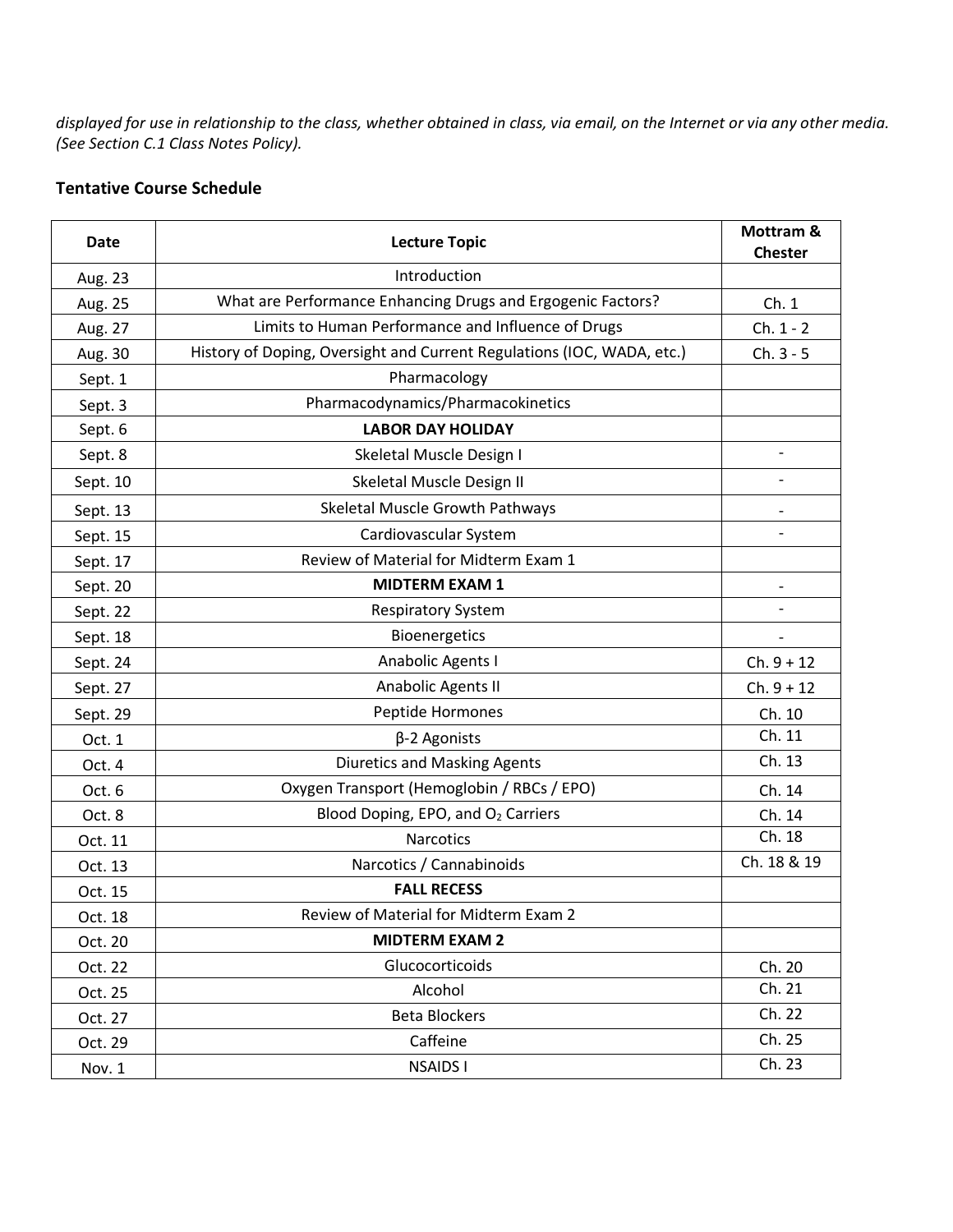*displayed for use in relationship to the class, whether obtained in class, via email, on the Internet or via any other media. (See Section C.1 Class Notes Policy).*

# **Tentative Course Schedule**

| <b>Date</b> | <b>Lecture Topic</b>                                                   | Mottram &<br><b>Chester</b> |
|-------------|------------------------------------------------------------------------|-----------------------------|
| Aug. 23     | Introduction                                                           |                             |
| Aug. 25     | What are Performance Enhancing Drugs and Ergogenic Factors?            | Ch.1                        |
| Aug. 27     | Limits to Human Performance and Influence of Drugs                     | $Ch. 1 - 2$                 |
| Aug. 30     | History of Doping, Oversight and Current Regulations (IOC, WADA, etc.) | $Ch. 3 - 5$                 |
| Sept. 1     | Pharmacology                                                           |                             |
| Sept. 3     | Pharmacodynamics/Pharmacokinetics                                      |                             |
| Sept. 6     | <b>LABOR DAY HOLIDAY</b>                                               |                             |
| Sept. 8     | Skeletal Muscle Design I                                               | $\overline{\phantom{0}}$    |
| Sept. 10    | Skeletal Muscle Design II                                              | $\overline{\phantom{0}}$    |
| Sept. 13    | Skeletal Muscle Growth Pathways                                        |                             |
| Sept. 15    | Cardiovascular System                                                  |                             |
| Sept. 17    | Review of Material for Midterm Exam 1                                  |                             |
| Sept. 20    | <b>MIDTERM EXAM 1</b>                                                  |                             |
| Sept. 22    | <b>Respiratory System</b>                                              |                             |
| Sept. 18    | Bioenergetics                                                          |                             |
| Sept. 24    | Anabolic Agents I                                                      | $Ch. 9 + 12$                |
| Sept. 27    | Anabolic Agents II                                                     | $Ch. 9 + 12$                |
| Sept. 29    | Peptide Hormones                                                       | Ch. 10                      |
| Oct. 1      | $\beta$ -2 Agonists                                                    | Ch. 11                      |
| Oct. 4      | Diuretics and Masking Agents                                           | Ch. 13                      |
| Oct. 6      | Oxygen Transport (Hemoglobin / RBCs / EPO)                             | Ch. 14                      |
| Oct. 8      | Blood Doping, EPO, and O <sub>2</sub> Carriers                         | Ch. 14                      |
| Oct. 11     | <b>Narcotics</b>                                                       | Ch. 18                      |
| Oct. 13     | Narcotics / Cannabinoids                                               | Ch. 18 & 19                 |
| Oct. 15     | <b>FALL RECESS</b>                                                     |                             |
| Oct. 18     | Review of Material for Midterm Exam 2                                  |                             |
| Oct. 20     | <b>MIDTERM EXAM 2</b>                                                  |                             |
| Oct. 22     | Glucocorticoids                                                        | Ch. 20                      |
| Oct. 25     | Alcohol                                                                | Ch. 21                      |
| Oct. 27     | <b>Beta Blockers</b>                                                   | Ch. 22                      |
| Oct. 29     | Caffeine                                                               | Ch. 25                      |
| Nov. 1      | <b>NSAIDS I</b>                                                        | Ch. 23                      |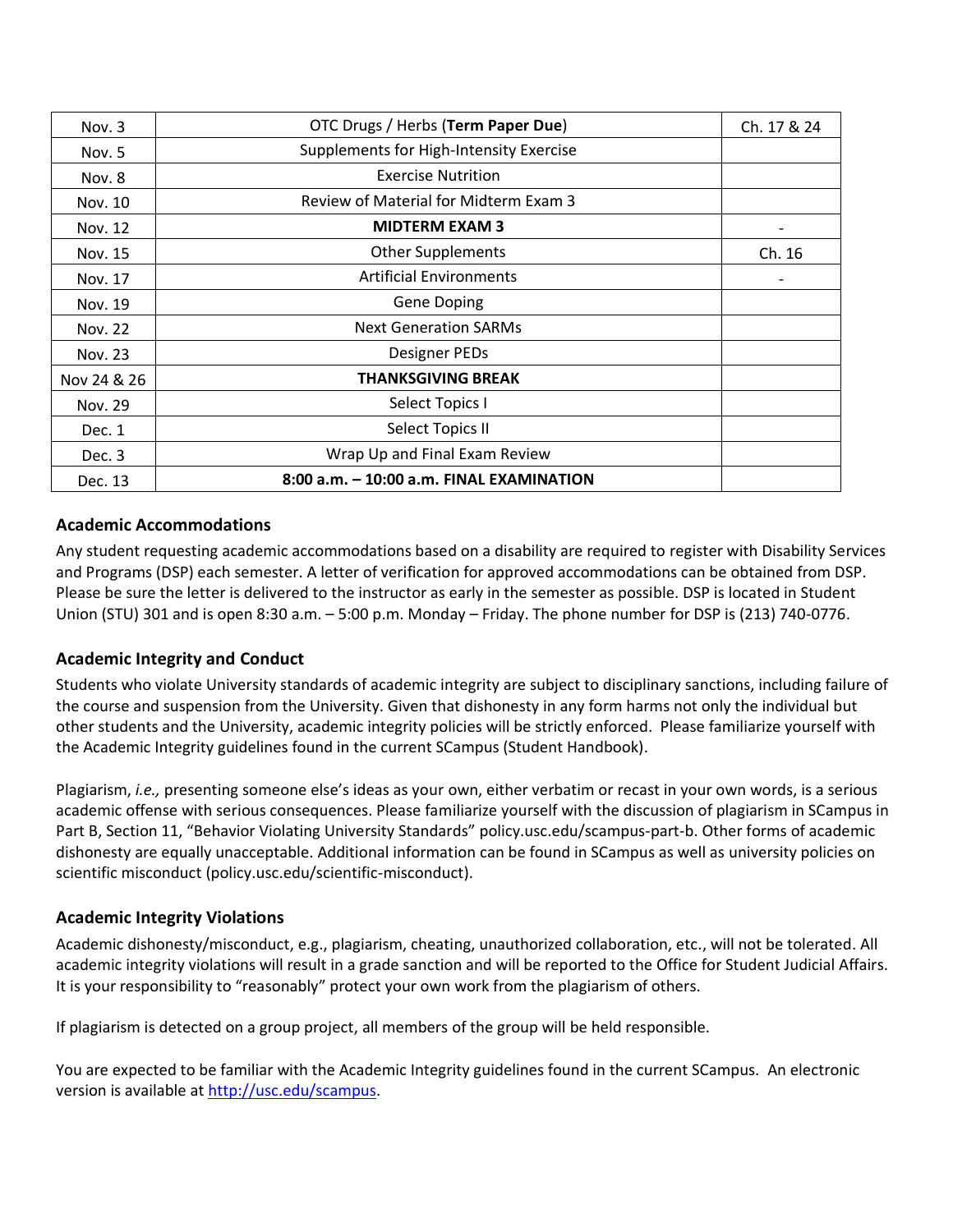| Nov. 3      | OTC Drugs / Herbs (Term Paper Due)       | Ch. 17 & 24 |
|-------------|------------------------------------------|-------------|
| Nov. 5      | Supplements for High-Intensity Exercise  |             |
| Nov. 8      | <b>Exercise Nutrition</b>                |             |
| Nov. 10     | Review of Material for Midterm Exam 3    |             |
| Nov. 12     | <b>MIDTERM EXAM 3</b>                    |             |
| Nov. 15     | <b>Other Supplements</b>                 | Ch. 16      |
| Nov. 17     | <b>Artificial Environments</b>           |             |
| Nov. 19     | <b>Gene Doping</b>                       |             |
| Nov. 22     | <b>Next Generation SARMs</b>             |             |
| Nov. 23     | Designer PEDs                            |             |
| Nov 24 & 26 | <b>THANKSGIVING BREAK</b>                |             |
| Nov. 29     | Select Topics I                          |             |
| Dec. 1      | Select Topics II                         |             |
| Dec. 3      | Wrap Up and Final Exam Review            |             |
| Dec. 13     | 8:00 a.m. - 10:00 a.m. FINAL EXAMINATION |             |

### **Academic Accommodations**

Any student requesting academic accommodations based on a disability are required to register with Disability Services and Programs (DSP) each semester. A letter of verification for approved accommodations can be obtained from DSP. Please be sure the letter is delivered to the instructor as early in the semester as possible. DSP is located in Student Union (STU) 301 and is open 8:30 a.m. – 5:00 p.m. Monday – Friday. The phone number for DSP is (213) 740-0776.

### **Academic Integrity and Conduct**

Students who violate University standards of academic integrity are subject to disciplinary sanctions, including failure of the course and suspension from the University. Given that dishonesty in any form harms not only the individual but other students and the University, academic integrity policies will be strictly enforced. Please familiarize yourself with the Academic Integrity guidelines found in the current SCampus (Student Handbook).

Plagiarism, *i.e.,* presenting someone else's ideas as your own, either verbatim or recast in your own words, is a serious academic offense with serious consequences. Please familiarize yourself with the discussion of plagiarism in SCampus in Part B, Section 11, "Behavior Violating University Standards" [policy.usc.edu/scampus-part-b.](https://policy.usc.edu/scampus-part-b/) Other forms of academic dishonesty are equally unacceptable. Additional information can be found in SCampus as well as university policies on scientific misconduct [\(policy.usc.edu/scientific-misconduct\)](http://policy.usc.edu/scientific-misconduct).

### **Academic Integrity Violations**

Academic dishonesty/misconduct, e.g., plagiarism, cheating, unauthorized collaboration, etc., will not be tolerated. All academic integrity violations will result in a grade sanction and will be reported to the Office for Student Judicial Affairs. It is your responsibility to "reasonably" protect your own work from the plagiarism of others.

If plagiarism is detected on a group project, all members of the group will be held responsible.

You are expected to be familiar with the Academic Integrity guidelines found in the current SCampus. An electronic version is available at [http://usc.edu/scampus.](http://usc.edu/scampus)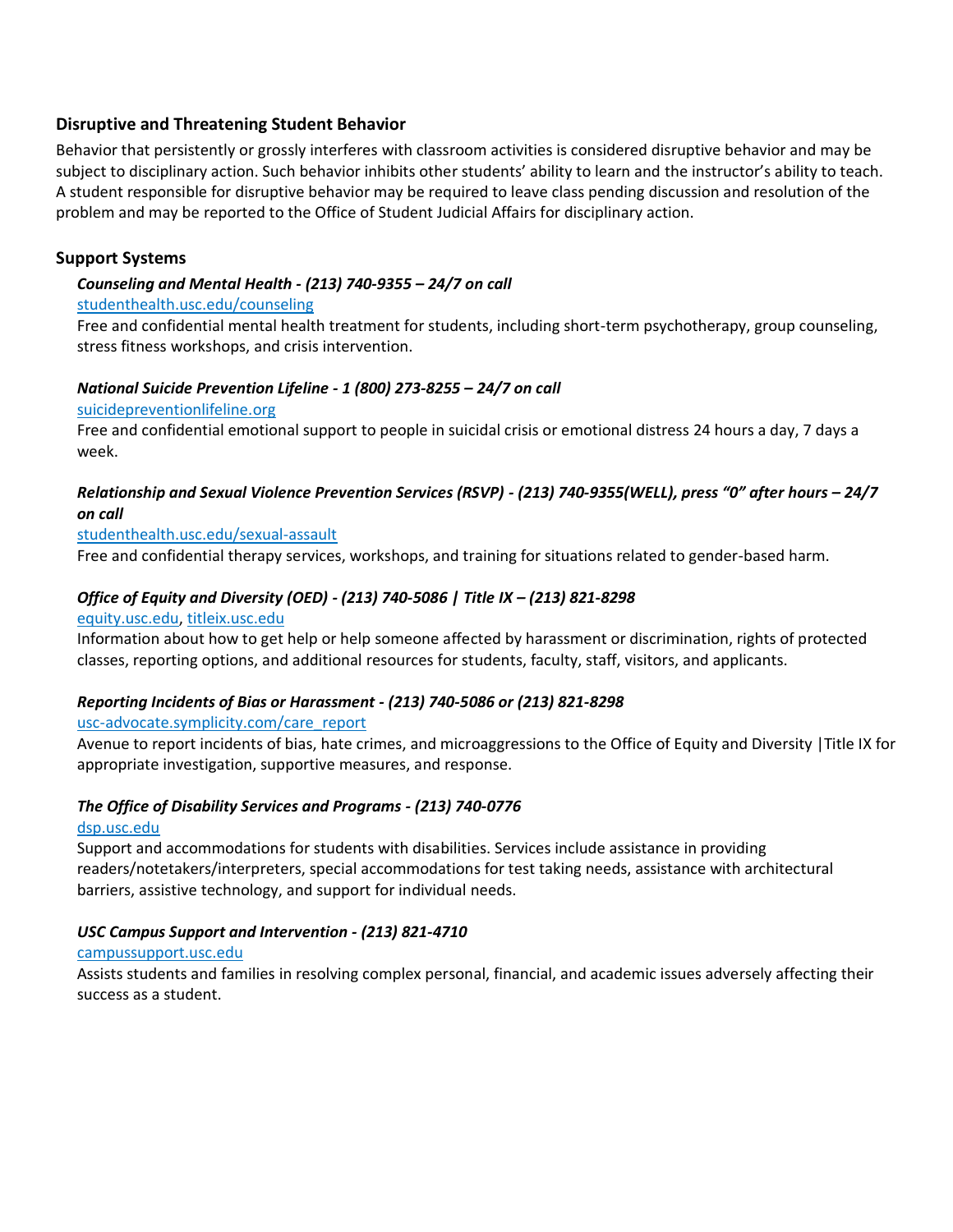### **Disruptive and Threatening Student Behavior**

Behavior that persistently or grossly interferes with classroom activities is considered disruptive behavior and may be subject to disciplinary action. Such behavior inhibits other students' ability to learn and the instructor's ability to teach. A student responsible for disruptive behavior may be required to leave class pending discussion and resolution of the problem and may be reported to the Office of Student Judicial Affairs for disciplinary action.

### **Support Systems**

#### *Counseling and Mental Health - (213) 740-9355 – 24/7 on call*

#### [studenthealth.usc.edu/counseling](https://studenthealth.usc.edu/counseling/)

Free and confidential mental health treatment for students, including short-term psychotherapy, group counseling, [str](https://engemannshc.usc.edu/counseling/)ess fitness workshops, and crisis intervention.

#### *National Suicide Prevention Lifeline - 1 (800) 273-8255 – 24/7 on call*

[suicidepreventionlifeline.org](http://www.suicidepreventionlifeline.org/)

Free and confidential emotional support to people in suicidal crisis or emotional distress 24 hours a day, 7 days a week.

### *Relationship and Sexual Violence Prevention Services (RSVP) - (213) 740-9355(WELL), press "0" after hours – 24/7 on call*

#### [studenthealth.usc.edu/sexual-assault](https://studenthealth.usc.edu/sexual-assault/)

Free and confidential therapy services, workshops, and training for situations related to gender-based harm[.](https://engemannshc.usc.edu/rsvp/)

#### *Office of Equity and Diversity (OED) - (213) 740-5086 | Title IX – (213) 821-8298*

#### [equity.usc.edu,](https://equity.usc.edu/) [titleix.usc.edu](http://titleix.usc.edu/)

Information about how to get help or help someone affected by harassment or discrimination, rights of protected classes, reporting options, and additional resources for students, faculty, staff, visitors, and applicants.

#### *Reporting Incidents of Bias or Harassment - (213) 740-5086 or (213) 821-8298*

#### [usc-advocate.symplicity.com/care\\_report](https://usc-advocate.symplicity.com/care_report/)

Avenue to report incidents of bias, hate crimes, and microaggressions to the Office of Equity and Diversity |Title IX for appropriate investigation, supportive measures, and response[.](https://studentaffairs.usc.edu/bias-assessment-response-support/)

#### *The Office of Disability Services and Programs - (213) 740-0776*

#### [dsp.usc.edu](http://dsp.usc.edu/)

Support and accommodations for students with disabilities. Services include assistance in providing readers/notetakers/interpreters, special accommodations for test taking needs, assistance with architectural barriers, assistive technology, and support for individual needs.

#### *USC Campus Support and Intervention - (213) 821-4710*

#### [campussupport.usc.edu](https://campussupport.usc.edu/)

Assists students and families in resolving complex personal, financial, and academic issues adversely affecting their success as a student.